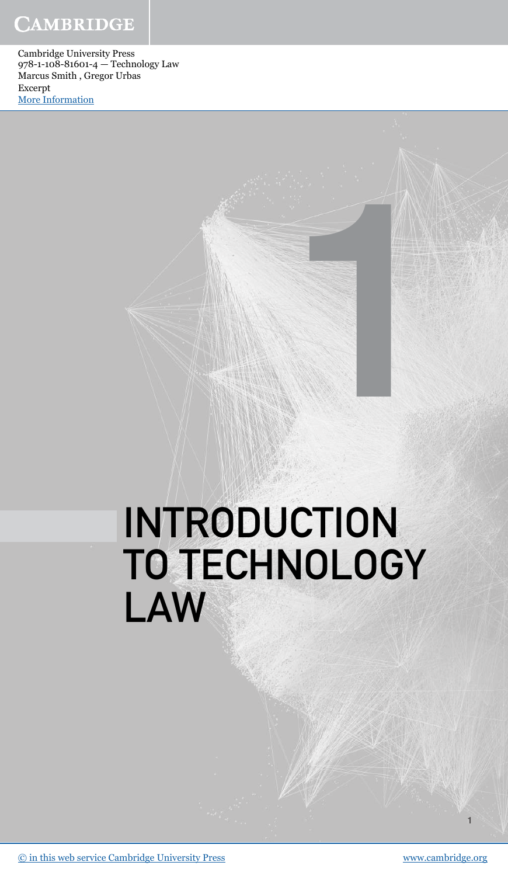## **CAMBRIDGE**

Cambridge University Press 978-1-108-81601-4 — Technology Law Marcus Smith , Gregor Urbas Excerpt [More Information](www.cambridge.org/9781108816014)

# INTRODUCTION TO TECHNOLOGY LAW

1

1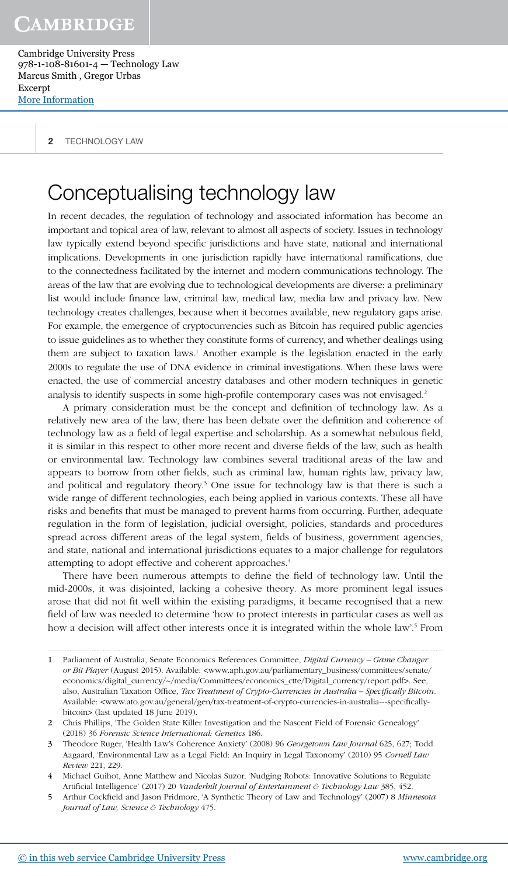2 **TECHNOLOGY LAW** 

## Conceptualising technology law

In recent decades, the regulation of technology and associated information has become an important and topical area of law, relevant to almost all aspects of society. Issues in technology law typically extend beyond specific jurisdictions and have state, national and international implications. Developments in one jurisdiction rapidly have international ramifications, due to the connectedness facilitated by the internet and modern communications technology. The areas of the law that are evolving due to technological developments are diverse: a preliminary list would include finance law, criminal law, medical law, media law and privacy law. New technology creates challenges, because when it becomes available, new regulatory gaps arise. For example, the emergence of cryptocurrencies such as Bitcoin has required public agencies to issue guidelines as to whether they constitute forms of currency, and whether dealings using them are subject to taxation laws.<sup>1</sup> Another example is the legislation enacted in the early 2000s to regulate the use of DNA evidence in criminal investigations. When these laws were enacted, the use of commercial ancestry databases and other modern techniques in genetic analysis to identify suspects in some high-profile contemporary cases was not envisaged.<sup>2</sup>

A primary consideration must be the concept and definition of technology law. As a relatively new area of the law, there has been debate over the definition and coherence of technology law as a field of legal expertise and scholarship. As a somewhat nebulous field, it is similar in this respect to other more recent and diverse fields of the law, such as health or environmental law. Technology law combines several traditional areas of the law and appears to borrow from other fields, such as criminal law, human rights law, privacy law, and political and regulatory theory.<sup>3</sup> One issue for technology law is that there is such a wide range of different technologies, each being applied in various contexts. These all have risks and benefits that must be managed to prevent harms from occurring. Further, adequate regulation in the form of legislation, judicial oversight, policies, standards and procedures spread across different areas of the legal system, fields of business, government agencies, and state, national and international jurisdictions equates to a major challenge for regulators attempting to adopt effective and coherent approaches.<sup>4</sup>

There have been numerous attempts to define the field of technology law. Until the mid-2000s, it was disjointed, lacking a cohesive theory. As more prominent legal issues arose that did not fit well within the existing paradigms, it became recognised that a new field of law was needed to determine 'how to protect interests in particular cases as well as how a decision will affect other interests once it is integrated within the whole law'.<sup>5</sup> From

<sup>1</sup> Parliament of Australia, Senate Economics References Committee, Digital Currency – Game Changer or Bit Player (August 2015). Available: <www.aph.gov.au/parliamentary\_business/committees/senate/ economics/digital\_currency/~/media/Committees/economics\_ctte/Digital\_currency/report.pdf>. See, also, Australian Taxation Office, Tax Treatment of Crypto-Currencies in Australia - Specifically Bitcoin. Available: <www.ato.gov.au/general/gen/tax-treatment-of-crypto-currencies-in-australia---specificallybitcoin> (last updated 18 June 2019).

<sup>2</sup> Chris Phillips, 'The Golden State Killer Investigation and the Nascent Field of Forensic Genealogy' (2018) 36 Forensic Science International: Genetics 186.

Theodore Ruger, 'Health Law's Coherence Anxiety' (2008) 96 Georgetown Law Journal 625, 627; Todd Aagaard, 'Environmental Law as a Legal Field: An Inquiry in Legal Taxonomy' (2010) 95 Cornell Law Review 221, 229.

<sup>4</sup> Michael Guihot, Anne Matthew and Nicolas Suzor, 'Nudging Robots: Innovative Solutions to Regulate Artificial Intelligence' (2017) 20 Vanderbilt Journal of Entertainment & Technology Law 385, 452.

<sup>5</sup> Arthur Cockfield and Jason Pridmore, 'A Synthetic Theory of Law and Technology' (2007) 8 Minnesota Journal of Law, Science & Technology 475.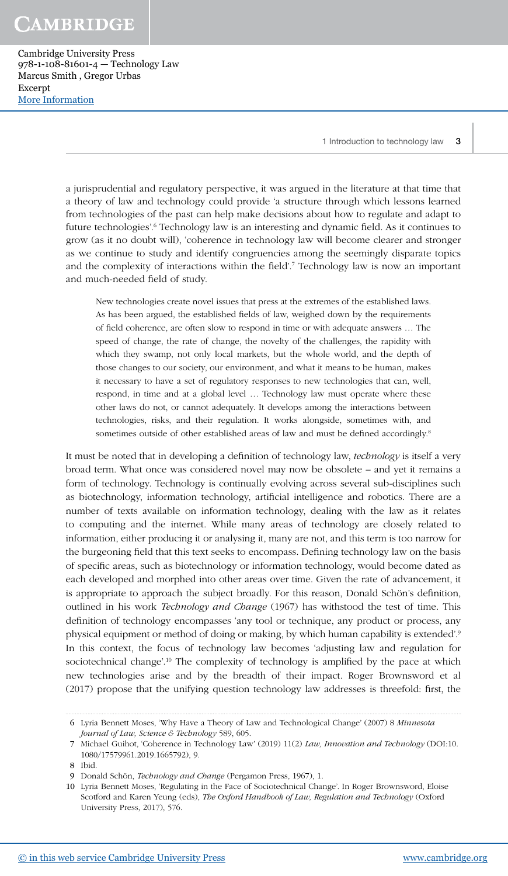**CAMBRIDGE** 

Cambridge University Press 978-1-108-81601-4 — Technology Law Marcus Smith , Gregor Urbas Excerpt [More Information](www.cambridge.org/9781108816014)

a jurisprudential and regulatory perspective, it was argued in the literature at that time that a theory of law and technology could provide 'a structure through which lessons learned from technologies of the past can help make decisions about how to regulate and adapt to future technologies'.<sup>6</sup> Technology law is an interesting and dynamic field. As it continues to grow (as it no doubt will), 'coherence in technology law will become clearer and stronger as we continue to study and identify congruencies among the seemingly disparate topics and the complexity of interactions within the field'.<sup>7</sup> Technology law is now an important and much-needed field of study.

New technologies create novel issues that press at the extremes of the established laws. As has been argued, the established fields of law, weighed down by the requirements of field coherence, are often slow to respond in time or with adequate answers … The speed of change, the rate of change, the novelty of the challenges, the rapidity with which they swamp, not only local markets, but the whole world, and the depth of those changes to our society, our environment, and what it means to be human, makes it necessary to have a set of regulatory responses to new technologies that can, well, respond, in time and at a global level … Technology law must operate where these other laws do not, or cannot adequately. It develops among the interactions between technologies, risks, and their regulation. It works alongside, sometimes with, and sometimes outside of other established areas of law and must be defined accordingly.<sup>8</sup>

It must be noted that in developing a definition of technology law, technology is itself a very broad term. What once was considered novel may now be obsolete – and yet it remains a form of technology. Technology is continually evolving across several sub-disciplines such as biotechnology, information technology, artificial intelligence and robotics. There are a number of texts available on information technology, dealing with the law as it relates to computing and the internet. While many areas of technology are closely related to information, either producing it or analysing it, many are not, and this term is too narrow for the burgeoning field that this text seeks to encompass. Defining technology law on the basis of specific areas, such as biotechnology or information technology, would become dated as each developed and morphed into other areas over time. Given the rate of advancement, it is appropriate to approach the subject broadly. For this reason, Donald Schön's definition, outlined in his work *Technology and Change* (1967) has withstood the test of time. This definition of technology encompasses 'any tool or technique, any product or process, any physical equipment or method of doing or making, by which human capability is extended'.<sup>9</sup> In this context, the focus of technology law becomes 'adjusting law and regulation for sociotechnical change'.<sup>10</sup> The complexity of technology is amplified by the pace at which new technologies arise and by the breadth of their impact. Roger Brownsword et al (2017) propose that the unifying question technology law addresses is threefold: first, the

 <sup>6</sup> Lyria Bennett Moses, 'Why Have a Theory of Law and Technological Change' (2007) 8 Minnesota Journal of Law, Science & Technology 589, 605.

 <sup>7</sup> Michael Guihot, 'Coherence in Technology Law' (2019) 11(2) Law, Innovation and Technology (DOI:10. 1080/17579961.2019.1665792), 9.

 <sup>8</sup> Ibid.

 <sup>9</sup> Donald Schön, Technology and Change (Pergamon Press, 1967), 1.

<sup>10</sup> Lyria Bennett Moses, 'Regulating in the Face of Sociotechnical Change'. In Roger Brownsword, Eloise Scotford and Karen Yeung (eds), The Oxford Handbook of Law, Regulation and Technology (Oxford University Press, 2017), 576.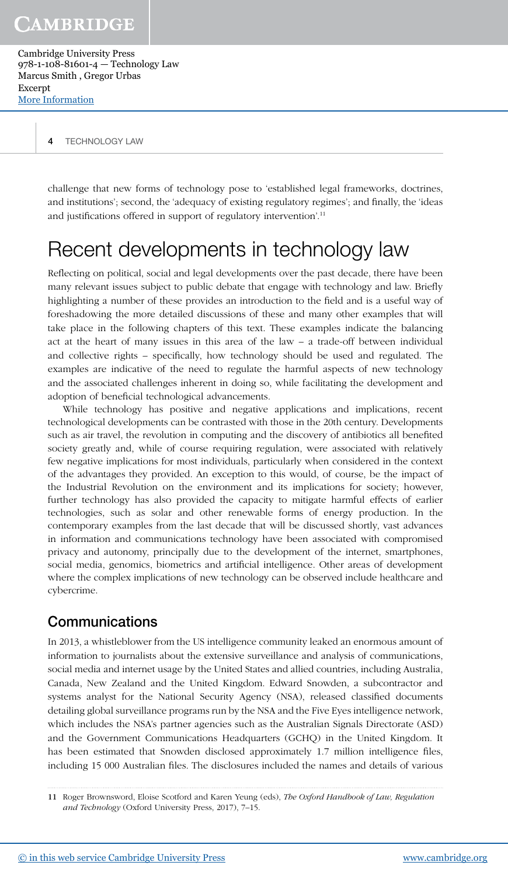challenge that new forms of technology pose to 'established legal frameworks, doctrines, and institutions'; second, the 'adequacy of existing regulatory regimes'; and finally, the 'ideas and justifications offered in support of regulatory intervention'.<sup>11</sup>

# Recent developments in technology law

Reflecting on political, social and legal developments over the past decade, there have been many relevant issues subject to public debate that engage with technology and law. Briefly highlighting a number of these provides an introduction to the field and is a useful way of foreshadowing the more detailed discussions of these and many other examples that will take place in the following chapters of this text. These examples indicate the balancing act at the heart of many issues in this area of the law – a trade-off between individual and collective rights – specifically, how technology should be used and regulated. The examples are indicative of the need to regulate the harmful aspects of new technology and the associated challenges inherent in doing so, while facilitating the development and adoption of beneficial technological advancements.

While technology has positive and negative applications and implications, recent technological developments can be contrasted with those in the 20th century. Developments such as air travel, the revolution in computing and the discovery of antibiotics all benefited society greatly and, while of course requiring regulation, were associated with relatively few negative implications for most individuals, particularly when considered in the context of the advantages they provided. An exception to this would, of course, be the impact of the Industrial Revolution on the environment and its implications for society; however, further technology has also provided the capacity to mitigate harmful effects of earlier technologies, such as solar and other renewable forms of energy production. In the contemporary examples from the last decade that will be discussed shortly, vast advances in information and communications technology have been associated with compromised privacy and autonomy, principally due to the development of the internet, smartphones, social media, genomics, biometrics and artificial intelligence. Other areas of development where the complex implications of new technology can be observed include healthcare and cybercrime.

#### Communications

In 2013, a whistleblower from the US intelligence community leaked an enormous amount of information to journalists about the extensive surveillance and analysis of communications, social media and internet usage by the United States and allied countries, including Australia, Canada, New Zealand and the United Kingdom. Edward Snowden, a subcontractor and systems analyst for the National Security Agency (NSA), released classified documents detailing global surveillance programs run by the NSA and the Five Eyes intelligence network, which includes the NSA's partner agencies such as the Australian Signals Directorate (ASD) and the Government Communications Headquarters (GCHQ) in the United Kingdom. It has been estimated that Snowden disclosed approximately 1.7 million intelligence files, including 15 000 Australian files. The disclosures included the names and details of various

<sup>11</sup> Roger Brownsword, Eloise Scotford and Karen Yeung (eds), The Oxford Handbook of Law, Regulation and Technology (Oxford University Press, 2017), 7–15.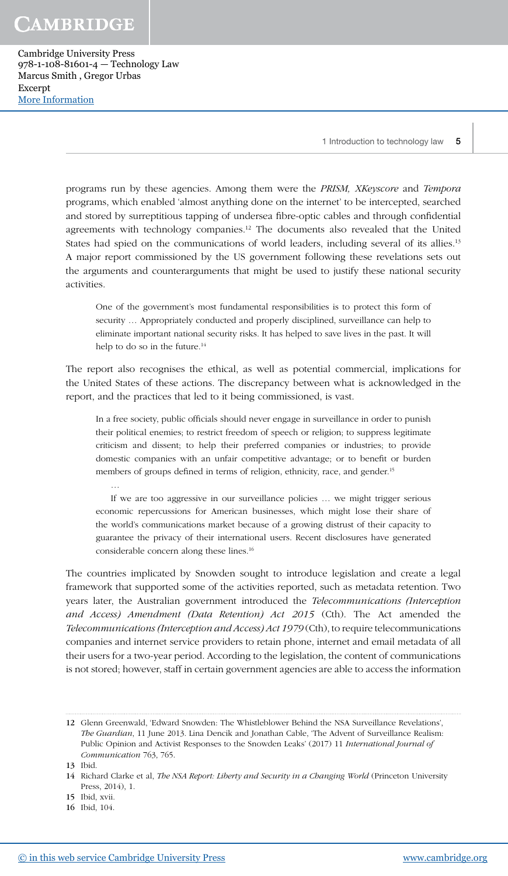CAMBRIDGE

Cambridge University Press 978-1-108-81601-4 — Technology Law Marcus Smith , Gregor Urbas Excerpt [More Information](www.cambridge.org/9781108816014)

1 Introduction to technology law 5

programs run by these agencies. Among them were the PRISM, XKeyscore and Tempora programs, which enabled 'almost anything done on the internet' to be intercepted, searched and stored by surreptitious tapping of undersea fibre-optic cables and through confidential agreements with technology companies.<sup>12</sup> The documents also revealed that the United States had spied on the communications of world leaders, including several of its allies.<sup>13</sup> A major report commissioned by the US government following these revelations sets out the arguments and counterarguments that might be used to justify these national security activities.

One of the government's most fundamental responsibilities is to protect this form of security … Appropriately conducted and properly disciplined, surveillance can help to eliminate important national security risks. It has helped to save lives in the past. It will help to do so in the future.<sup>14</sup>

The report also recognises the ethical, as well as potential commercial, implications for the United States of these actions. The discrepancy between what is acknowledged in the report, and the practices that led to it being commissioned, is vast.

In a free society, public officials should never engage in surveillance in order to punish their political enemies; to restrict freedom of speech or religion; to suppress legitimate criticism and dissent; to help their preferred companies or industries; to provide domestic companies with an unfair competitive advantage; or to benefit or burden members of groups defined in terms of religion, ethnicity, race, and gender.<sup>15</sup>

… If we are too aggressive in our surveillance policies … we might trigger serious economic repercussions for American businesses, which might lose their share of the world's communications market because of a growing distrust of their capacity to guarantee the privacy of their international users. Recent disclosures have generated considerable concern along these lines.<sup>16</sup>

The countries implicated by Snowden sought to introduce legislation and create a legal framework that supported some of the activities reported, such as metadata retention. Two years later, the Australian government introduced the Telecommunications (Interception and Access) Amendment (Data Retention) Act 2015 (Cth). The Act amended the Telecommunications (Interception and Access) Act 1979 (Cth), to require telecommunications companies and internet service providers to retain phone, internet and email metadata of all their users for a two-year period. According to the legislation, the content of communications is not stored; however, staff in certain government agencies are able to access the information

13 Ibid.

- 15 Ibid, xvii.
- 16 Ibid, 104.

<sup>12</sup> Glenn Greenwald, 'Edward Snowden: The Whistleblower Behind the NSA Surveillance Revelations', The Guardian, 11 June 2013. Lina Dencik and Jonathan Cable, 'The Advent of Surveillance Realism: Public Opinion and Activist Responses to the Snowden Leaks' (2017) 11 International Journal of Communication 763, 765.

<sup>14</sup> Richard Clarke et al, The NSA Report: Liberty and Security in a Changing World (Princeton University Press, 2014), 1.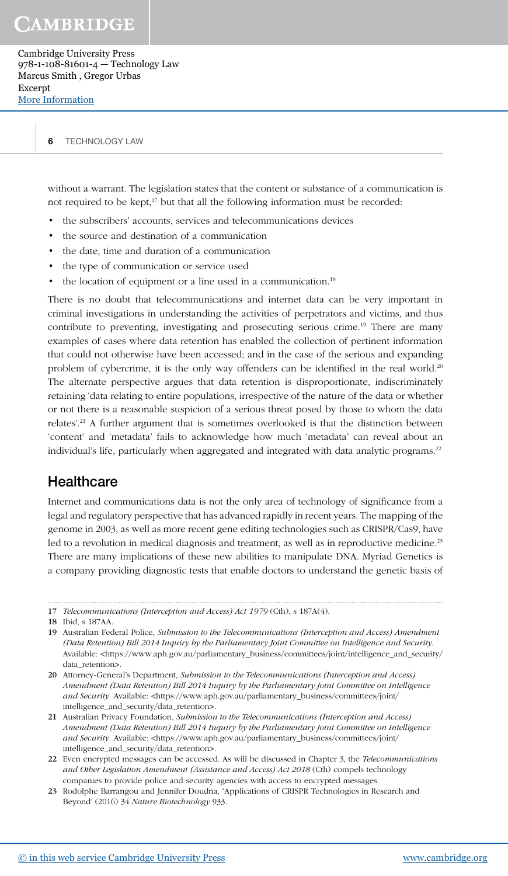without a warrant. The legislation states that the content or substance of a communication is not required to be kept,<sup>17</sup> but that all the following information must be recorded:

- the subscribers' accounts, services and telecommunications devices
- the source and destination of a communication
- the date, time and duration of a communication
- the type of communication or service used
- the location of equipment or a line used in a communication.<sup>18</sup>

There is no doubt that telecommunications and internet data can be very important in criminal investigations in understanding the activities of perpetrators and victims, and thus contribute to preventing, investigating and prosecuting serious crime.<sup>19</sup> There are many examples of cases where data retention has enabled the collection of pertinent information that could not otherwise have been accessed; and in the case of the serious and expanding problem of cybercrime, it is the only way offenders can be identified in the real world.<sup>20</sup> The alternate perspective argues that data retention is disproportionate, indiscriminately retaining 'data relating to entire populations, irrespective of the nature of the data or whether or not there is a reasonable suspicion of a serious threat posed by those to whom the data relates'.<sup>21</sup> A further argument that is sometimes overlooked is that the distinction between 'content' and 'metadata' fails to acknowledge how much 'metadata' can reveal about an individual's life, particularly when aggregated and integrated with data analytic programs.<sup>22</sup>

#### **Healthcare**

Internet and communications data is not the only area of technology of significance from a legal and regulatory perspective that has advanced rapidly in recent years. The mapping of the genome in 2003, as well as more recent gene editing technologies such as CRISPR/Cas9, have led to a revolution in medical diagnosis and treatment, as well as in reproductive medicine.<sup>23</sup> There are many implications of these new abilities to manipulate DNA. Myriad Genetics is a company providing diagnostic tests that enable doctors to understand the genetic basis of

<sup>17</sup> Telecommunications (Interception and Access) Act 1979 (Cth), s 187A(4).

<sup>18</sup> Ibid, s 187AA.

<sup>19</sup> Australian Federal Police, Submission to the Telecommunications (Interception and Access) Amendment (Data Retention) Bill 2014 Inquiry by the Parliamentary Joint Committee on Intelligence and Security. Available: <https://www.aph.gov.au/parliamentary\_business/committees/joint/intelligence\_and\_security/ data\_retention>.

<sup>20</sup> Attorney-General's Department, Submission to the Telecommunications (Interception and Access) Amendment (Data Retention) Bill 2014 Inquiry by the Parliamentary Joint Committee on Intelligence and Security. Available: <https://www.aph.gov.au/parliamentary\_business/committees/joint/ intelligence\_and\_security/data\_retention>.

<sup>21</sup> Australian Privacy Foundation, Submission to the Telecommunications (Interception and Access) Amendment (Data Retention) Bill 2014 Inquiry by the Parliamentary Joint Committee on Intelligence and Security. Available: <https://www.aph.gov.au/parliamentary\_business/committees/joint/ intelligence\_and\_security/data\_retention>.

<sup>22</sup> Even encrypted messages can be accessed. As will be discussed in Chapter 3, the Telecommunications and Other Legislation Amendment (Assistance and Access) Act 2018 (Cth) compels technology companies to provide police and security agencies with access to encrypted messages.

<sup>23</sup> Rodolphe Barrangou and Jennifer Doudna, 'Applications of CRISPR Technologies in Research and Beyond' (2016) 34 Nature Biotechnology 933.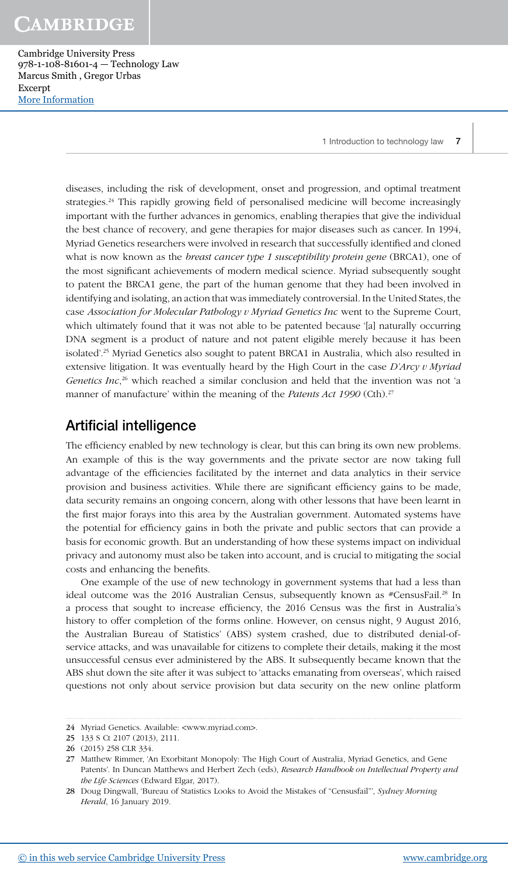diseases, including the risk of development, onset and progression, and optimal treatment strategies.<sup>24</sup> This rapidly growing field of personalised medicine will become increasingly important with the further advances in genomics, enabling therapies that give the individual the best chance of recovery, and gene therapies for major diseases such as cancer. In 1994, Myriad Genetics researchers were involved in research that successfully identified and cloned what is now known as the *breast cancer type 1 susceptibility protein gene* (BRCA1), one of the most significant achievements of modern medical science. Myriad subsequently sought to patent the BRCA1 gene, the part of the human genome that they had been involved in identifying and isolating, an action that was immediately controversial. In the United States, the case Association for Molecular Pathology v Myriad Genetics Inc went to the Supreme Court, which ultimately found that it was not able to be patented because '[a] naturally occurring DNA segment is a product of nature and not patent eligible merely because it has been isolated'.<sup>25</sup> Myriad Genetics also sought to patent BRCA1 in Australia, which also resulted in extensive litigation. It was eventually heard by the High Court in the case  $D'Arcy \nu Myriad$ *Genetics Inc*,<sup>26</sup> which reached a similar conclusion and held that the invention was not 'a manner of manufacture' within the meaning of the Patents Act 1990 (Cth).<sup>27</sup>

### Artificial intelligence

The efficiency enabled by new technology is clear, but this can bring its own new problems. An example of this is the way governments and the private sector are now taking full advantage of the efficiencies facilitated by the internet and data analytics in their service provision and business activities. While there are significant efficiency gains to be made, data security remains an ongoing concern, along with other lessons that have been learnt in the first major forays into this area by the Australian government. Automated systems have the potential for efficiency gains in both the private and public sectors that can provide a basis for economic growth. But an understanding of how these systems impact on individual privacy and autonomy must also be taken into account, and is crucial to mitigating the social costs and enhancing the benefits.

One example of the use of new technology in government systems that had a less than ideal outcome was the 2016 Australian Census, subsequently known as  $*$ CensusFail.<sup>28</sup> In a process that sought to increase efficiency, the 2016 Census was the first in Australia's history to offer completion of the forms online. However, on census night, 9 August 2016, the Australian Bureau of Statistics' (ABS) system crashed, due to distributed denial-ofservice attacks, and was unavailable for citizens to complete their details, making it the most unsuccessful census ever administered by the ABS. It subsequently became known that the ABS shut down the site after it was subject to 'attacks emanating from overseas', which raised questions not only about service provision but data security on the new online platform

<sup>24</sup> Myriad Genetics. Available: <www.myriad.com>.

<sup>25</sup> 133 S Ct 2107 (2013), 2111.

<sup>26</sup> (2015) 258 CLR 334.

<sup>27</sup> Matthew Rimmer, 'An Exorbitant Monopoly: The High Court of Australia, Myriad Genetics, and Gene Patents'. In Duncan Matthews and Herbert Zech (eds), Research Handbook on Intellectual Property and the Life Sciences (Edward Elgar, 2017).

<sup>28</sup> Doug Dingwall, 'Bureau of Statistics Looks to Avoid the Mistakes of "Censusfail"', Sydney Morning Herald, 16 January 2019.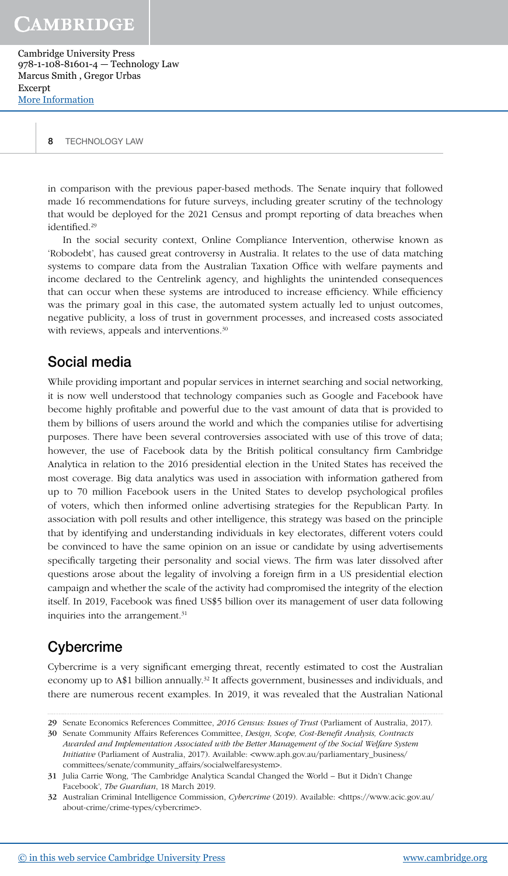8 TECHNOLOGY LAW

in comparison with the previous paper-based methods. The Senate inquiry that followed made 16 recommendations for future surveys, including greater scrutiny of the technology that would be deployed for the 2021 Census and prompt reporting of data breaches when identified.<sup>29</sup>

In the social security context, Online Compliance Intervention, otherwise known as 'Robodebt', has caused great controversy in Australia. It relates to the use of data matching systems to compare data from the Australian Taxation Office with welfare payments and income declared to the Centrelink agency, and highlights the unintended consequences that can occur when these systems are introduced to increase efficiency. While efficiency was the primary goal in this case, the automated system actually led to unjust outcomes, negative publicity, a loss of trust in government processes, and increased costs associated with reviews, appeals and interventions.<sup>30</sup>

#### Social media

While providing important and popular services in internet searching and social networking, it is now well understood that technology companies such as Google and Facebook have become highly profitable and powerful due to the vast amount of data that is provided to them by billions of users around the world and which the companies utilise for advertising purposes. There have been several controversies associated with use of this trove of data; however, the use of Facebook data by the British political consultancy firm Cambridge Analytica in relation to the 2016 presidential election in the United States has received the most coverage. Big data analytics was used in association with information gathered from up to 70 million Facebook users in the United States to develop psychological profiles of voters, which then informed online advertising strategies for the Republican Party. In association with poll results and other intelligence, this strategy was based on the principle that by identifying and understanding individuals in key electorates, different voters could be convinced to have the same opinion on an issue or candidate by using advertisements specifically targeting their personality and social views. The firm was later dissolved after questions arose about the legality of involving a foreign firm in a US presidential election campaign and whether the scale of the activity had compromised the integrity of the election itself. In 2019, Facebook was fined US\$5 billion over its management of user data following inquiries into the arrangement.<sup>31</sup>

## **Cybercrime**

Cybercrime is a very significant emerging threat, recently estimated to cost the Australian economy up to A\$1 billion annually.<sup>32</sup> It affects government, businesses and individuals, and there are numerous recent examples. In 2019, it was revealed that the Australian National

<sup>29</sup> Senate Economics References Committee, 2016 Census: Issues of Trust (Parliament of Australia, 2017).

<sup>30</sup> Senate Community Affairs References Committee, Design, Scope, Cost-Benefit Analysis, Contracts Awarded and Implementation Associated with the Better Management of the Social Welfare System Initiative (Parliament of Australia, 2017). Available: <www.aph.gov.au/parliamentary\_business/ committees/senate/community\_affairs/socialwelfaresystem>.

<sup>31</sup> Julia Carrie Wong, 'The Cambridge Analytica Scandal Changed the World – But it Didn't Change Facebook', The Guardian, 18 March 2019.

<sup>32</sup> Australian Criminal Intelligence Commission, Cybercrime (2019). Available: <https://www.acic.gov.au/ about-crime/crime-types/cybercrime>.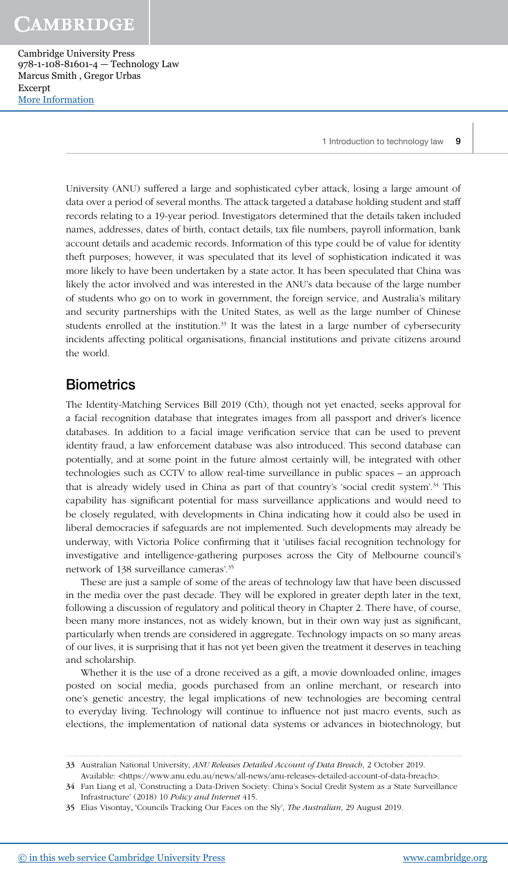University (ANU) suffered a large and sophisticated cyber attack, losing a large amount of data over a period of several months. The attack targeted a database holding student and staff records relating to a 19-year period. Investigators determined that the details taken included names, addresses, dates of birth, contact details, tax file numbers, payroll information, bank account details and academic records. Information of this type could be of value for identity theft purposes; however, it was speculated that its level of sophistication indicated it was more likely to have been undertaken by a state actor. It has been speculated that China was likely the actor involved and was interested in the ANU's data because of the large number of students who go on to work in government, the foreign service, and Australia's military and security partnerships with the United States, as well as the large number of Chinese students enrolled at the institution. $33$  It was the latest in a large number of cybersecurity incidents affecting political organisations, financial institutions and private citizens around the world.

#### **Biometrics**

The Identity-Matching Services Bill 2019 (Cth), though not yet enacted, seeks approval for a facial recognition database that integrates images from all passport and driver's licence databases. In addition to a facial image verification service that can be used to prevent identity fraud, a law enforcement database was also introduced. This second database can potentially, and at some point in the future almost certainly will, be integrated with other technologies such as CCTV to allow real-time surveillance in public spaces – an approach that is already widely used in China as part of that country's 'social credit system'.<sup>34</sup> This capability has significant potential for mass surveillance applications and would need to be closely regulated, with developments in China indicating how it could also be used in liberal democracies if safeguards are not implemented. Such developments may already be underway, with Victoria Police confirming that it 'utilises facial recognition technology for investigative and intelligence-gathering purposes across the City of Melbourne council's network of 138 surveillance cameras'.<sup>35</sup>

These are just a sample of some of the areas of technology law that have been discussed in the media over the past decade. They will be explored in greater depth later in the text, following a discussion of regulatory and political theory in Chapter 2. There have, of course, been many more instances, not as widely known, but in their own way just as significant, particularly when trends are considered in aggregate. Technology impacts on so many areas of our lives, it is surprising that it has not yet been given the treatment it deserves in teaching and scholarship.

Whether it is the use of a drone received as a gift, a movie downloaded online, images posted on social media, goods purchased from an online merchant, or research into one's genetic ancestry, the legal implications of new technologies are becoming central to everyday living. Technology will continue to influence not just macro events, such as elections, the implementation of national data systems or advances in biotechnology, but

34 Fan Liang et al, 'Constructing a Data-Driven Society: China's Social Credit System as a State Surveillance Infrastructure' (2018) 10 Policy and Internet 415.

<sup>33</sup> Australian National University, ANU Releases Detailed Account of Data Breach, 2 October 2019.

Available: <https://www.anu.edu.au/news/all-news/anu-releases-detailed-account-of-data-breach>.

<sup>35</sup> Elias Visontay, 'Councils Tracking Our Faces on the Sly', The Australian, 29 August 2019.